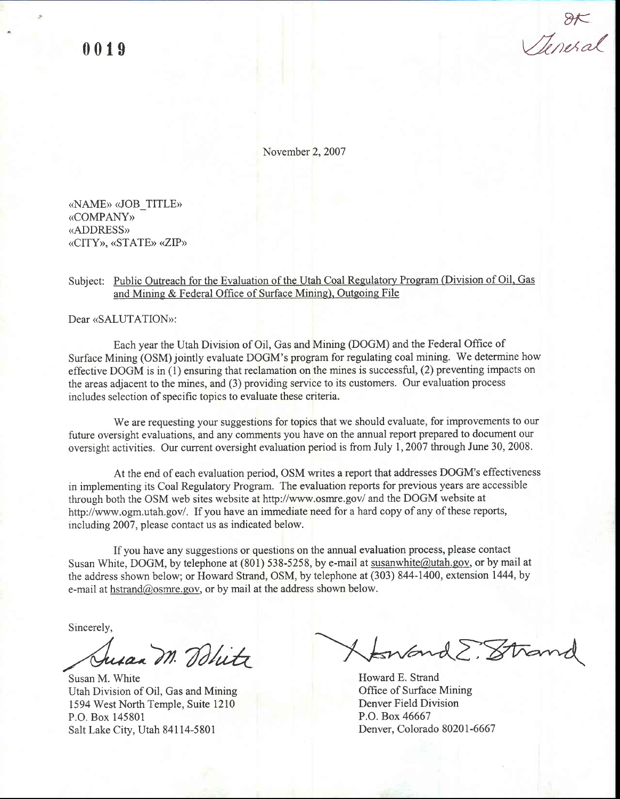0019

 $8<sub>K</sub>$ Venera

November 2.2007

«NAME» «JOB TITLE» «COMPANY» (ADDRESS) «CITY», «STATE» «ZIP»

## Subject: Public Outreach for the Evaluation of the Utah Coal Regulatory Program (Division of Oil, Gas and Minine & Federal Office of Surface Mining). Outgoing File

Dear «SALUTATION»:

Each year the Utah Division of Oil, Gas and Mining (DOGM) and the Federal Office of Surface Mining (OSM) jointly evaluate DOGM's program for regulating coal mining. We determine how effective DOGM is in (1) ensuring that reclamation on the mines is successful, (2) preventing impacts on the areas adjacent to the mines, and (3) providing service to its customers. Our evaluation process includes selection of specific topics to evaluate these criteria.

We are requesting your suggestions for topics that we should evaluate, for improvements to our future oversight evaluations, and any comments you have on the annual report prepared to document our oversight activities, Our current oversight evaluation period is from July 1,2007 through June 30, 2008.

At the end of each evaluation period, OSM writes a report that addresses DOGM's effectiveness in implementing its Coal Regulatory Program. The evaluation reports for previous years are accessible through both the OSM web sites website at http://www.osmre.gov/ and the DOGM website at http://www.ogm.utah.gov/. If you have an immediate need for a hard copy of any of these reports, including 2007, please contact us as indicated below.

If you have any suggestions or questions on the annual evaluation process, please contact Susan White, DOGM, by telephone at (801) 538-5258, by e-mail at susanwhite@utah.gov, or by mail at the address shown below; or Howard Strand, OSM, by telephone at (303) 844-1400, extension 1444, by e-mail at hstrand@osmre.gov, or by mail at the address shown below.

Sincerely,

Susan M. Dolitz Howle

Susan M. White Utah Division of Oil, Gas and Mining 1594 West North Temple, Suite 1210 P.O. Box 145801 Salt Lake City, Utah 84114-5801

Howard E. Strand Office of Surface Mining Denver Field Division P.O. Box 46667 Denver. Colorado 80201 -6667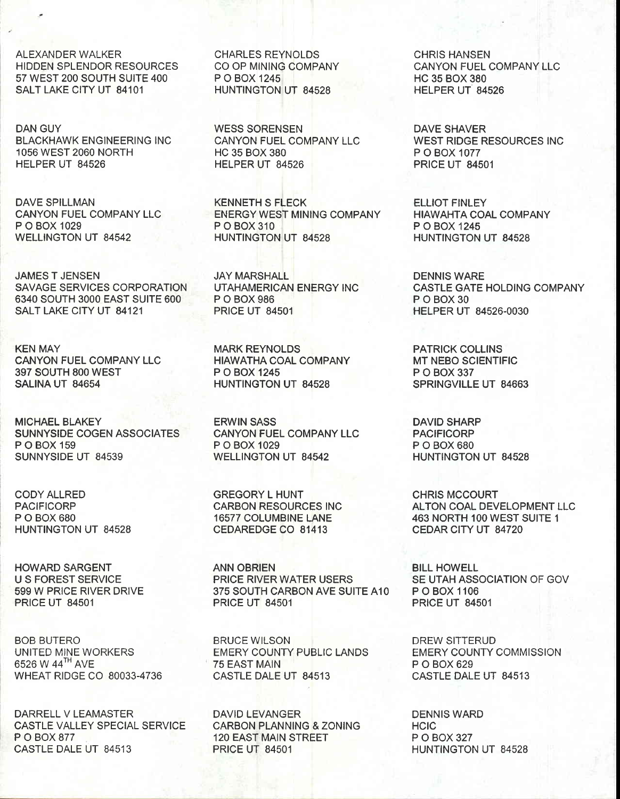ALEXANDER WALKER HIDDEN SPLENDOR RESOURCES 57 WEST 2OO SOUTH SUITE 4OO SALT LAKE CITY UT 84101

DAN GUY BLACKHAWK ENGINEERING INC 1056 WEST 2060 NORTH HELPER UT 84526

DAVE SPILLMAN CANYON FUEL COMPANY LLC P O BOX 1029 WELLINGTON UT 84542

JAMES T JENSEN SAVAGE SERVICES CORPORATION 6340 SOUTH 3OOO EAST SUITE 600 SALT LAKE CITY UT 84121

KEN MAY CANYON FUEL COMPANY LLC 397 SOUTH 8OO WEST SALINA UT 84654

MICHAEL BLAKEY SUNNYSIDE COGEN ASSOCIATES P O BOX 159 SUNNYSIDE UT 84539

CODY ALLRED PACIFICORP P O BOX 680 HUNTINGTON UT 84528

HOWARD SARGENT U S FOREST SERVICE 599 W PRICE RIVER DRIVE PRICE UT 84501

BOB BUTERO UNITED MINE WORKERS 6526 W 44TH AVE WHEAT RIDGE CO 80033-4736

DARRELL VLEAMASTER CASTLE VALLEY SPECIAL SERVICE P O BOX 877 CASTLE DALE UT 84513

CHARLES REYNOLDS CO OP MINING COMPANY P O BOX 1245 HUNTINGTON UT 84528

WESS SORENSEN CANYON FUEL COMPANY LLC HC 35 BOX 380 HELPER UT 84526

KENNETH S FLECK ENERGY WEST MINING COMPANY P O BOX 310 HUNTINGTON UT 84528

JAY MARSHALL UTAHAMERICAN ENERGY INC P O BOX 986 PRICE UT 84501

MARK REYNOLDS HIAWATHA COAL COMPANY P O BOX 1245 HUNTINGTON UT 84528

ERWIN SASS CANYON FUEL COMPANY LLC P O BOX 1029 WELLINGTON UT 84542

GREGORY L HUNT CARBON RESOURCES INC 16577 COLUMBINE LANE CEDAREDGE CO 81413

ANN OBRIEN PRICE RIVER WATER USERS 375 SOUTH CARBON AVE SUITE A1O PRICE UT 84501

BRUCE WILSON EMERY COUNTY PUBLIC LANDS 75 EAST MAIN CASTLE DALE UT 84513

DAVID LEVANGER CARBON PLANNING & ZONING 120 EAST MAIN STREET PRICE UT 84501

CHRIS HANSEN CANYON FUEL COMPANY LLC HC 35 BOX 380 HELPER UT 84526

DAVE SHAVER WEST RIDGE RESOURCES INC P O BOX 1077 PRICE UT 84501

ELLIOT FINLEY HIAWAHTA COAL COMPANY P O BOX 1245 HUNTINGTON UT 84528

DENNIS WARE CASTLE GATE HOLDING COMPANY PO<sub>BOX</sub>30 HELPER UT 84526.0030

PATRICK COLLINS MT NEBO SCIENTIFIC P O BOX 337 SPRINGVILLE UT 84663

DAVID SHARP PACIFICORP P O BOX 680 HUNTINGTON UT 84528

CHRIS MCCOURT ALTON COAL DEVELOPMENT LLC 463 NORTH 1OO WEST SUITE 1 CEDAR CITY UT 84720

BILL HOWELL SE UTAH ASSOCIATION OF GOV P O BOX 1106 PRICE UT 84501

DREW SITTERUD EMERY COUNTY COMMISSION P O BOX 629 CASTLE DALE UT 84513

DENNIS WARD **HCIC** P O BOX 327 HUNTINGTON UT 84528